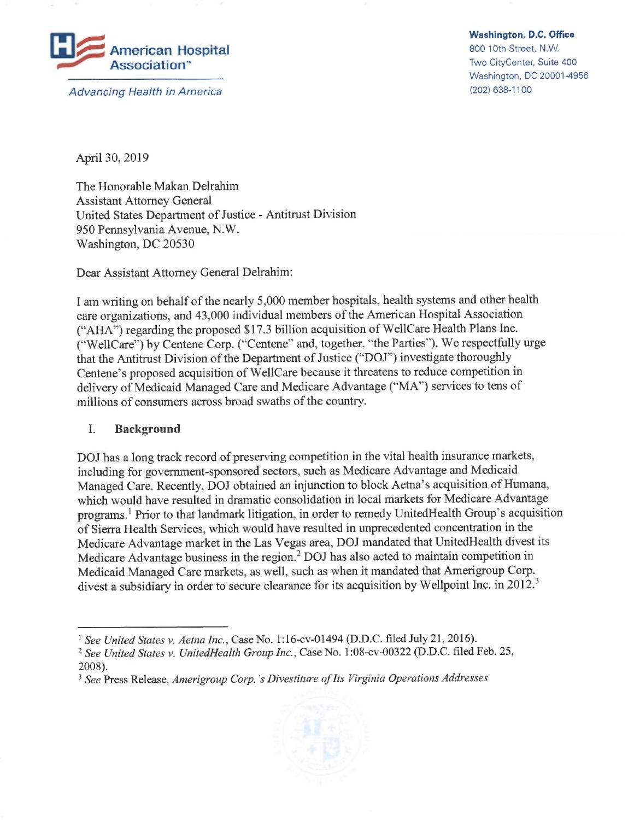

<sup>A</sup>dvancing Health in America

Washington, D.C. Office

800 10th Street, N.W. <sup>T</sup>wo CityCenter, Suite 400 <sup>W</sup>ashington, DC 20001-4956 (202) 638-1100

<sup>A</sup>pri130, 2019

The Honorable Makan Delrahim Assistant Attorney General <sup>U</sup>nited States Department of Justice -Antitrust Division 950 Pennsylvania Avenue, N.W. Washington, DC 20530

<sup>D</sup>ear Assistant Attorney General Delrahim:

I am writing on behalf of the nearly 5,000 member hospitals, health systems and other health <sup>c</sup>are organizations, and 43,000 individual members of the American Hospital Association ("AHA") regarding the proposed \$17.3 billion acquisition of We1lCare Health Plans Inc. ("We1lCare") by Centene Corp. ("Centene" and, together, "the Parties''). We respectfully urge <sup>t</sup>hat the Antitrust Division of the Department of Justice ("DOJ") investigate thoroughly <sup>C</sup>entene's proposed acquisition of We1lCare because it threatens to reduce competition in <sup>d</sup>elivery of Medicaid Managed Care and Medicare Advantage ("MA") services to tens of <sup>m</sup>illions of consumers across broad swaths of the country.

## I. Background

<sup>D</sup>OJ has a long track record of preserving competition in the vital health insurance markets, <sup>i</sup>ncluding for government-sponsored sectors, such as Medicare Advantage and Medicaid <sup>M</sup>anaged Care. Recently, DOJ obtained an injunction to block Aetna's acquisition of Humana, <sup>w</sup>hich would have resulted in dramatic consolidation in local markets for Medicare Advantage programs.<sup>1</sup> Prior to that landmark litigation, in order to remedy UnitedHealth Group's acquisition <sup>o</sup>f Sierra Health Services, which would have resulted in unprecedented concentration in the <sup>M</sup>edicare Advantage market in the Las Vegas area, DOJ mandated that UnitedHealth divest its <sup>M</sup>edicare Advantage business in the region.<sup>2</sup> DOJ has also acted to maintain competition in <sup>M</sup>edicaid Managed Care markets, as well, such as when it mandated that Amerigroup Corp. divest a subsidiary in order to secure clearance for its acquisition by Wellpoint Inc. in 2012.<sup>3</sup>

<sup>&</sup>lt;sup>3</sup> See Press Release, Amerigroup Corp.'s Divestiture of Its Virginia Operations Addresses



<sup>&</sup>lt;sup>1</sup> See United States v. Aetna Inc., Case No. 1:16-cv-01494 (D.D.C. filed July 21, 2016).

<sup>&</sup>lt;sup>2</sup> See United States v. UnitedHealth Group Inc., Case No. 1:08-cv-00322 (D.D.C. filed Feb. 25, 2008).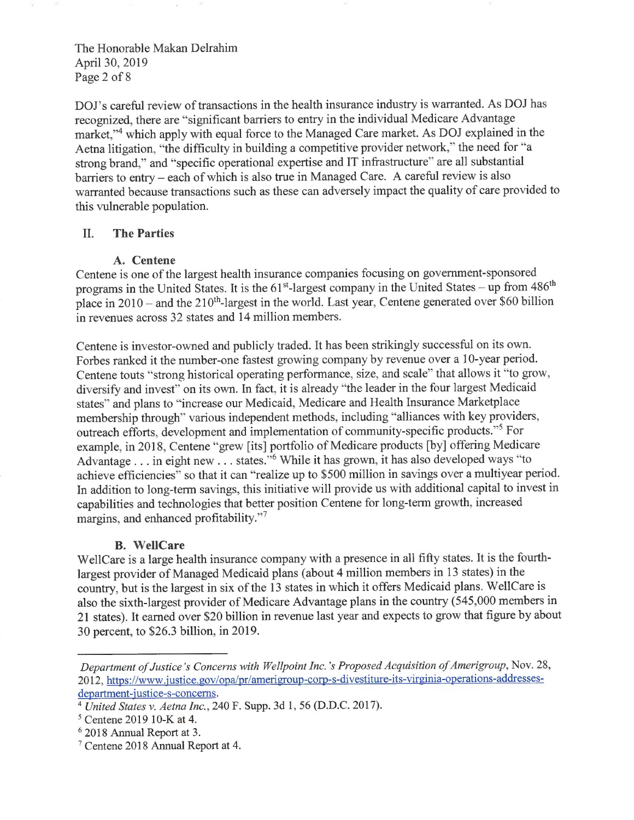The Honorable Makan Delrahim <sup>A</sup>pri130, 2019 Page 2 of 8

<sup>D</sup>OJ's careful review of transactions in the health insurance industry is warranted. As DOJ has <sup>r</sup>ecognized, there are "significant barriers to entry in the individual Medicare Advantage market,"<sup>4</sup> which apply with equal force to the Managed Care market. As DOJ explained in the <sup>A</sup>etna litigation, "the difficulty in building a competitive provider network,'" the need for "a <sup>s</sup>trong brand," and "specific operational expertise and IT infrastructure" are all substantial barriers to entry – each of which is also true in Managed Care. A careful review is also <sup>w</sup>arranted because transactions such as these can adversely impact the quality of care provided to <sup>t</sup>his vulnerable population.

## II. The Parties

## A. Centene

<sup>C</sup>entene is one of the largest health insurance companies focusing on government-sponsored programs in the United States. It is the  $61<sup>st</sup>$ -largest company in the United States – up from  $486<sup>th</sup>$ place in  $2010$  – and the  $210<sup>th</sup>$ -largest in the world. Last year, Centene generated over \$60 billion in revenues across 32 states and 14 million members.

<sup>C</sup>entene is investor-owned and publicly traded. It has been strikingly successful on its own. <sup>F</sup>orbes ranked it the number-one fastest growing company by revenue over a 10-year period. <sup>C</sup>entene touts "strong historical operating performance, size, and scale" that allows it "to grow, diversify and invest" on its own. In fact, it is already "the leader in the four largest Medicaid states" and plans to "increase our Medicaid, Medicare and Health Insurance Marketplace <sup>m</sup>embership through" various independent methods, including "alliances with key providers, outreach efforts, development and implementation of community-specific products."<sup>5</sup> For <sup>e</sup>xample, in 2018, Centene "grew [its] portfolio of Medicare products [by] offering Medicare Advantage . . . in eight new . . . states."<sup>6</sup> While it has grown, it has also developed ways "to <sup>a</sup>chieve efficiencies" so that it can "realize up to \$500 million in savings over a multiyear period. <sup>I</sup>n addition to long-term savings, this initiative will provide us with additional capital to invest in <sup>c</sup>apabilities and technologies that better position Centene for long-term growth, increased margins, and enhanced profitability."7

#### B. We1lCare

<sup>W</sup>e1lCare is a large health insurance company with a presence in all fifty states. It is the fourthlargest provider of Managed Medicaid plans (about 4 million members in 13 states) in the <sup>c</sup>ountry, but is the largest in six of the 13 states in which it offers Medicaid plans. We1lCare is <sup>a</sup>lso the sixth-largest provider of Medicare Advantage plans in the country (545,000 members in <sup>2</sup>1 states). It earned over \$20 billion in revenue last year and expects to grow that figure by about 30 percent, to \$26.3 billion, in 2019.

Department of Justice's Concerns with Wellpoint Inc.'s Proposed Acquisition of Amerigroup, Nov. 28, 2012, https://www.justice.gov/opa/pr/amerigroup-corp-s-divestiture-its-virginia-operations-addressesdepartment-justice-s-concerns.

<sup>&</sup>lt;sup>4</sup> United States v. Aetna Inc., 240 F. Supp. 3d 1, 56 (D.D.C. 2017).

<sup>5</sup> Centene 2019 10-K at 4.

<sup>6</sup> 2018 Annual Report at 3.

Centene 2018 Annual Report at 4.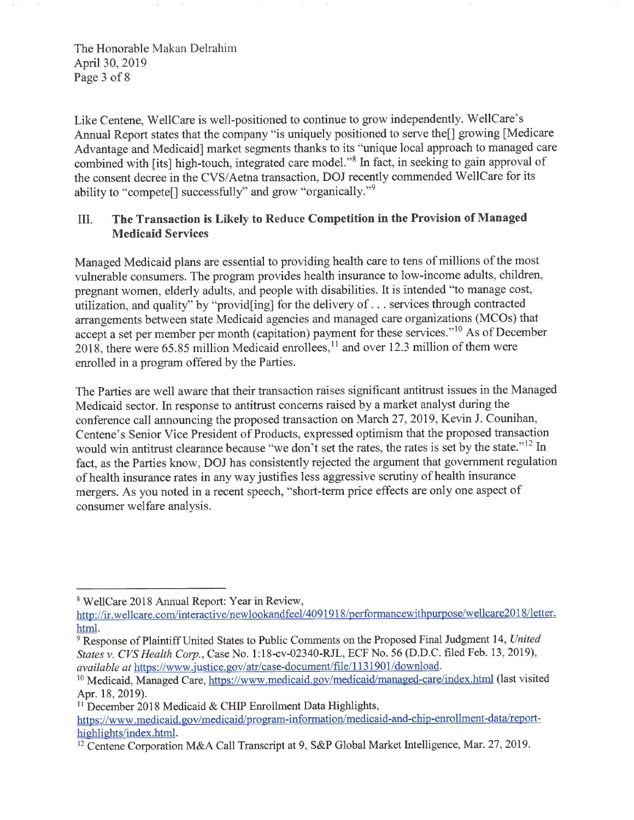The Honorable Makan Delrahim <sup>A</sup>pri130, 2019 Page 3 of 8

<sup>L</sup>ike Centene, We1lCare is well-positioned to continue to grow independently. We1lCare's <sup>A</sup>nnual Report states that the company "is uniquely positioned to serve the[] growing [Medicare Advantage and Medicaid] market segments thanks to its "unique local approach to managed care <sup>c</sup>ombined with [its] high-touch, integrated care model."<sup>8</sup> In fact, in seeking to gain approval of <sup>t</sup>he consent decree in the CVS/Aetna transaction, DOJ recently commended We1lCare for its ability to "compete[] successfully" and grow "organically."<sup>9</sup>

# <sup>I</sup>II. The Transaction is Likely to Reduce Competition in the Provision of Managed Medicaid Services

<sup>M</sup>anaged Medicaid plans are essential to providing health care to tens of millions of the most <sup>v</sup>ulnerable consumers. The program provides health insurance to low-income adults, children, <sup>p</sup>regnant women, elderly adults, and people with disabilities. It is intended "to manage cost, <sup>u</sup>tilization, and quality" by "provid[ing] for the delivery of ...services through contracted <sup>a</sup>rrangements between state Medicaid agencies and managed care organizations (MCOs) that <sup>a</sup>ccept a set per member per month (capitation) payment for these services."<sup>10</sup> As of December  $2018$ , there were 65.85 million Medicaid enrollees,  $\frac{11}{2}$  and over 12.3 million of them were <sup>e</sup>nrolled in a program offered by the Parties.

<sup>T</sup>he Parties are well aware that their transaction raises significant antitrust issues in the Managed <sup>M</sup>edicaid sector. In response to antitrust concerns raised by a market analyst during the <sup>c</sup>onference call announcing the proposed transaction on March 27, 2019, Kevin J. Counihan, <sup>C</sup>entene's Senior Vice President of Products, expressed optimism that the proposed transaction would win antitrust clearance because "we don't set the rates, the rates is set by the state."<sup>12</sup> In <sup>f</sup>act, as the Parties know, DOJ has consistently rejected the argument that government regulation <sup>o</sup>f health insurance rates in any way justifies less aggressive scrutiny of health insurance mergers. As you noted in a recent speech, "short-term price effects are only one aspect of <sup>c</sup>onsumer welfare analysis.

 $11$  December 2018 Medicaid & CHIP Enrollment Data Highlights,

<sup>&</sup>lt;sup>8</sup> WellCare 2018 Annual Report: Year in Review,

http://ir.wellcare.com/interactive/newlookandfeel/4091918/performancewithpurpose/wellcare2018/letter. html.

<sup>&</sup>lt;sup>9</sup> Response of Plaintiff United States to Public Comments on the Proposed Final Judgment 14, United States v. CVS Health Corp., Case No. 1:18-cv-02340-RJL, ECF No. 56 (D.D.C. filed Feb. 13, 2019), available at https://www.justice.gov/atr/case-document/file/1131901/download.

<sup>&</sup>lt;sup>10</sup> Medicaid, Managed Care, https://www.medicaid.gov/medicaid/managed-care/index.html (last visited Apr. 18, 2019).

https://www.medicaid. gov/medicaid/program-information/medicaid-and-chip-enrol lment-data/reporthighlights/index.html.

<sup>&</sup>lt;sup>12</sup> Centene Corporation M&A Call Transcript at 9, S&P Global Market Intelligence, Mar. 27, 2019.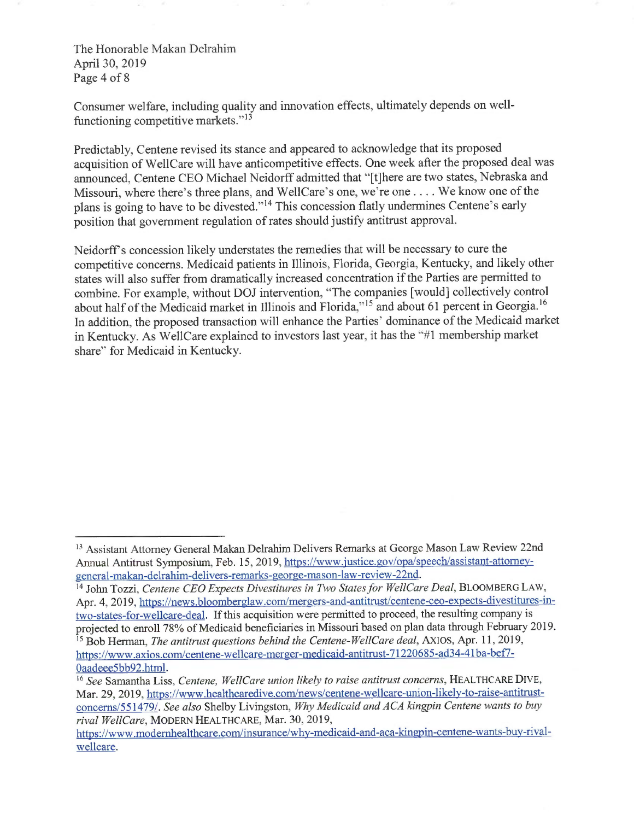The Honorable Makan Delrahim <sup>A</sup>pri130, 2019 <sup>P</sup>age 4 of 8

<sup>C</sup>onsumer welfare, including quality and innovation effects, ultimately depends on wellfunctioning competitive markets." $13$ 

<sup>P</sup>redictably, Centene revised its stance and appeared to acknowledge that its proposed <sup>a</sup>cquisition of We1lCare will have anticompetitive effects. One week after the proposed deal was <sup>a</sup>nnounced, Centene CEO Michael Neidorff admitted that "[t]here are two states, Nebraska and <sup>M</sup>issouri, where there's three plans, and Wel]Care's one, we're one .... We know one of the <sup>p</sup>lans is going to have to be divested."<sup>14</sup> This concession flatly undermines Centene's early <sup>p</sup>osition that government regulation of rates should justify antitrust approval.

<sup>N</sup>eidorff's concession likely understates the remedies that will be necessary to cure the <sup>c</sup>ompetitive concerns. Medicaid patients in Illinois, Florida, Georgia, Kentucky, and likely other <sup>s</sup>tates will also suffer from dramatically increased concentration if the Parties are permitted to combine. For example, without DOJ intervention, "The companies [would] collectively control <sup>a</sup>bout half of the Medicaid market in Illinois and Florida,"15 and about 61 percent in Georgia.16 In addition, the proposed transaction will enhance the Parties' dominance of the Medicaid market <sup>i</sup>n Kentucky. As We1lCare explained to investors last year, it has the "#1 membership market <sup>s</sup>hare'" for Medicaid in Kentucky.

<sup>&</sup>lt;sup>13</sup> Assistant Attorney General Makan Delrahim Delivers Remarks at George Mason Law Review 22nd Annual Antitrust Symposium, Feb. 15, 2019, https://www.justice.gov/opa/speech/assistant-attorneygeneral-makan-delrahim-delivers-remarks-george-mason-law-review-22nd.

<sup>&</sup>lt;sup>14</sup> John Tozzi, Centene CEO Expects Divestitures in Two States for WellCare Deal, BLOOMBERG LAW, Apr. 4, 2019, https://news.bloomberglaw.com/mergers-and-antitrust/centene-ceo-expects-divestitures-intwo-states-for-wellcare-deal. If this acquisition were permitted to proceed, the resulting company is <sup>p</sup>rojected to enroll 78% of Medicaid beneficiaries in Missouri based on plan data through February 2019.

<sup>&</sup>lt;sup>15</sup> Bob Herman, *The antitrust questions behind the Centene-WellCare deal*, AXIOS, Apr. 11, 2019, <sup>h</sup>ttps://www.axios.com/centene-wellcare-merger-medicaid-antitrust-71220685-ad34-41 ba-bef7- Oaadeee5bb92.htm1.

 $\frac{16}{16}$  See Samantha Liss, Centene, WellCare union likely to raise antitrust concerns, HEALTHCARE DIVE, Mar. 29, 2019, https://www.healthcaredive.com/news/centene-wellcare-union-likely-to-raise-antitrustconcerns/551479/. See also Shelby Livingston, Why Medicaid and ACA kingpin Centene wants to buy <sup>r</sup>ival WellCare, MODERN HEALTHCARE, Mar. 30, 2019,

https://www.modernhealthcare.com/insurance/whv-medicaid-and-aca-kingpin-centene-wants-buy-rivalwellcare.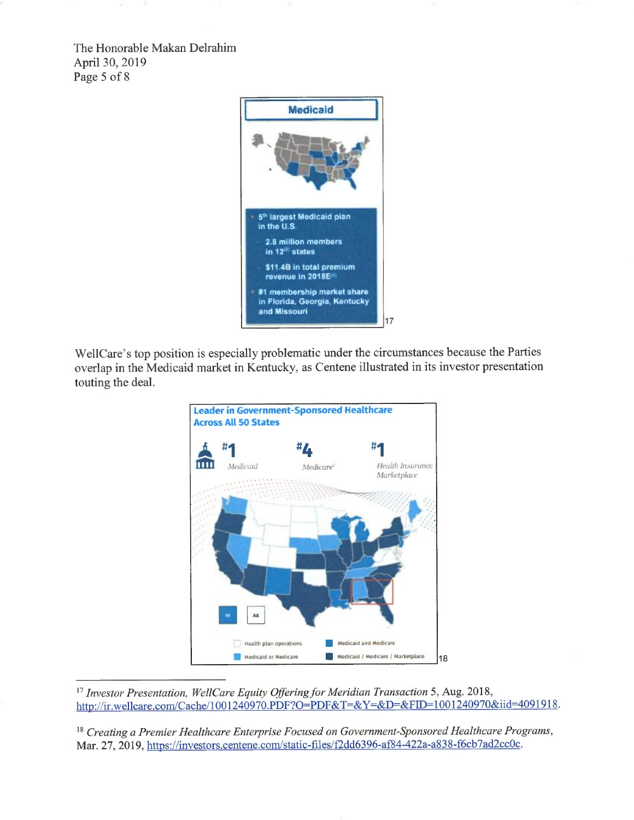The Honorable Makan Delrahim <sup>A</sup>pri130, 2019 <sup>P</sup>age 5 of 8



<sup>W</sup>ellCare's top position is especially problematic under the circumstances because the Parties <sup>o</sup>verlap in the Medicaid market in Kentucky, as Centene illustrated in its investor presentation touting the deal.



<sup>17</sup> Investor Presentation, WellCare Equity Offering for Meridian Transaction 5, Aug. 2018, http://ir.wellcare.com/Cache/1001240970.PDF?O=PDF&T=&Y=&D=&FID=1001240970&iid=4091918.

<sup>18</sup> Creating a Premier Healthcare Enterprise Focused on Government-Sponsored Healthcare Programs, Mar. 27, 2019, https://investors.centene.com/static-files/f2dd6396-af84-422a-a838-f6cb7ad2cc0c.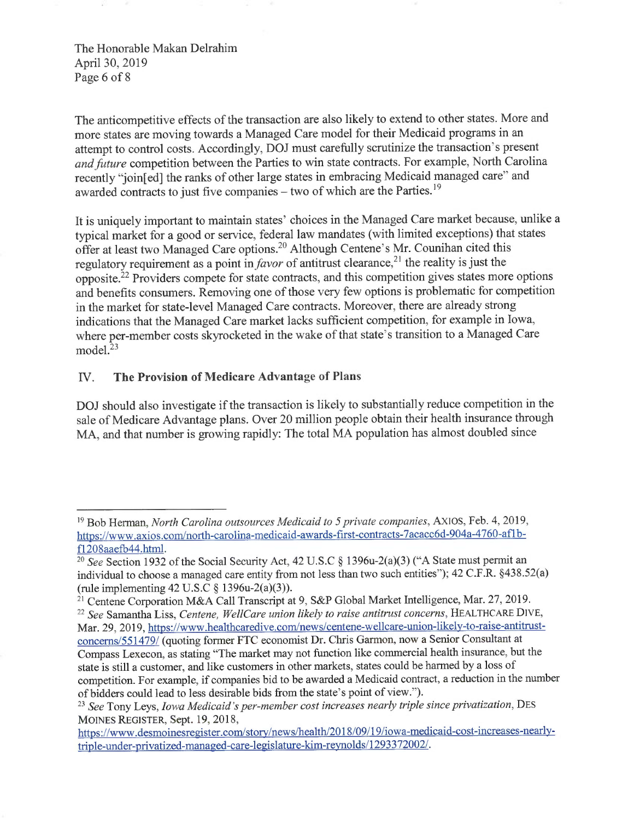The Honorable Makan Delrahim <sup>A</sup>pri130, 2019 <sup>P</sup>age 6 of 8

<sup>T</sup>he anticompetitive effects of the transaction are also likely to extend to other states. More and <sup>m</sup>ore states are moving towards a Managed Care model for their Medicaid programs in an <sup>a</sup>ttempt to control costs. Accordingly, DOJ must carefully scrutinize the transaction's present <sup>a</sup>nd future competition between the Parties to win state contracts. For example, North Carolina <sup>r</sup>ecently "join[ed] the ranks of other large states in embracing Medicaid managed care" and awarded contracts to just five companies  $-$  two of which are the Parties.<sup>19</sup>

<sup>I</sup>t is uniquely important to maintain states' choices in the Managed Care market because, unlike <sup>a</sup> <sup>t</sup>ypical market for a good or service, federal law mandates (with limited exceptions) that states <sup>o</sup>ffer at least two Managed Care options.<sup>20</sup> Although Centene's Mr. Counihan cited this regulatory requirement as a point in *favor* of antitrust clearance,<sup>21</sup> the reality is just the <sup>o</sup>pposite.<sup>22</sup> Providers compete for state contracts, and this competition gives states more options <sup>a</sup>nd benefits consumers. Removing one of those very few options is problematic for competition in the market for state-level Managed Care contracts. Moreover, there are already strong <sup>i</sup>ndications that the Managed Care market lacks sufficient competition, for example in Iowa, <sup>w</sup>here per-member costs skyrocketed in the wake of that state's transition to a Managed Care model.<sup>23</sup>

## IV. The Provision of Medicare Advantage of Plans

<sup>D</sup>OJ should also investigate if the transaction is likely to substantially reduce competition in the <sup>s</sup>ale of Medicare Advantage plans. Over 20 million people obtain their health insurance through <sup>M</sup>A, and that number is growing rapidly: The total MA population has almost doubled since

<sup>&</sup>lt;sup>19</sup> Bob Herman, North Carolina outsources Medicaid to 5 private companies, AXIOS, Feb. 4, 2019, <sup>h</sup>ttps://www.axios.com/north-caroling-medicaid-awards-first-contracts-7acacc6d-904a-4760-afl <sup>b</sup>fl208aaefb44.htm1.

<sup>&</sup>lt;sup>20</sup> See Section 1932 of the Social Security Act, 42 U.S.C § 1396u-2(a)(3) ("A State must permit an <sup>i</sup>ndividual to choose a managed care entity from not less than two such entities"); 42 C.F.R. §438.52(a) (rule implementing  $42 \text{ U.S. C} \$  1396u-2(a)(3)).

<sup>&</sup>lt;sup>21</sup> Centene Corporation M&A Call Transcript at 9, S&P Global Market Intelligence, Mar. 27, 2019.

<sup>&</sup>lt;sup>22</sup> See Samantha Liss, Centene, WellCare union likely to raise antitrust concerns, HEALTHCARE DIVE, <sup>M</sup>ar. 29, 2019, https://www.healthcaredive.com/news/centene-wellcare-union-likely-to-raise-antitrustconcerns/551479/ (quoting former FTC economist Dr. Chris Garmon, now a Senior Consultant at <sup>C</sup>ompass Lexecon, as stating "The market may not function like commercial health insurance, but the <sup>s</sup>tate is still a customer, and like customers in other markets, states could be harmed by a loss of <sup>c</sup>ompetition. For example, if companies bid to be awarded a Medicaid contract, a reduction in the number <sup>o</sup>f bidders could lead to less desirable bids from the state's point of view.").

<sup>&</sup>lt;sup>23</sup> See Tony Leys, Iowa Medicaid's per-member cost increases nearly triple since privatization, DES <sup>M</sup>OINES REGISTER, Sept. 19, 2018,

https://www.desmoinesregister.com/story/news/health/2018/09/19/iowa-medicaid-cost-increases-nearlytriple-under-privatized-managed-care-legislature-kim-reynolds/ 1293372002/.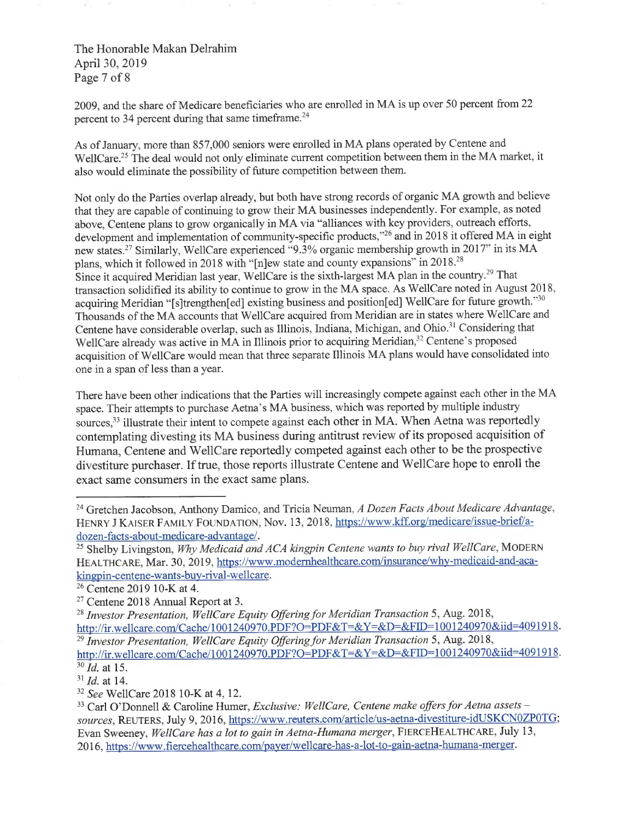The Honorable Makan Delrahim <sup>A</sup>pri130, 2019 <sup>P</sup>age 7 of 8

<sup>2</sup>009, and the share of Medicare beneficiaries who are enrolled in MA is up over 50 percent from <sup>22</sup> percent to 34 percent during that same timeframe.<sup>24</sup>

<sup>A</sup>s of January, more than 857,000 seniors were enrolled in MA plans operated by Centene and WellCare.<sup>25</sup> The deal would not only eliminate current competition between them in the MA market, it <sup>a</sup>lso would eliminate the possibility of future competition between them.

<sup>N</sup>ot only do the Parties overlap already, but both have strong records of organic MA growth and believe <sup>t</sup>hat they are capable of continuing to grow their MA businesses independently. For example, as noted <sup>a</sup>bove, Centene plans to grow organically in MA via "alliances with key providers, outreach efforts, <sup>d</sup>evelopment and implementation of community-specific products,"<sup>26</sup> and in 2018 it offered MA in eight new states.<sup>27</sup> Similarly, WellCare experienced "9.3% organic membership growth in 2017" in its MA <sup>p</sup>lans, which it followed in 2018 with "[n]ew state and county expansions' in 2018.<sup>28</sup> Since it acquired Meridian last year, WellCare is the sixth-largest MA plan in the country.<sup>29</sup> That <sup>t</sup>ransaction solidified its ability to continue to grow in the MA space. As WellCare noted in August 2018, acquiring Meridian "[s]trengthen[ed] existing business and position[ed] WellCare for future growth."30 <sup>T</sup>housands of the MA accounts that We1lCare acquired from Meridian are in states where We1lCare and Centene have considerable overlap, such as Illinois, Indiana, Michigan, and Ohio.<sup>31</sup> Considering that WellCare already was active in MA in Illinois prior to acquiring Meridian,<sup>32</sup> Centene's proposed <sup>a</sup>cquisition of We1lCare would mean that three separate Illinois MA plans would have consolidated into <sup>o</sup>ne in a span of less than a year.

<sup>T</sup>here have been other indications that the Parties will increasingly compete against each other in the MA <sup>s</sup>pace. Their attempts to purchase Aetna's MA business, which was reported by multiple industry sources,<sup>33</sup> illustrate their intent to compete against each other in MA. When Aetna was reportedly <sup>c</sup>ontemplating divesting its MA business during antitrust review of its proposed acquisition of <sup>H</sup>umana, Centene and We1lCare reportedly competed against each other to be the prospective <sup>d</sup>ivestiture purchaser. If true, those reports illustrate Centene and We1lCare hope to enroll the <sup>e</sup>xact same consumers in the exact same plans.

http://ir.wellcare.com/Cache/1001240970.PDF?O=PDF&T=&Y=&D=&FID=1001240970&iid=4091918.  $30$  *Id.* at 15.

<sup>&</sup>lt;sup>24</sup> Gretchen Jacobson, Anthony Damico, and Tricia Neuman, A Dozen Facts About Medicare Advantage, HENRY J KAISER FAMILY FOUNDATION, Nov. 13, 2018, https://www.kff.org/medicare/issue-brief/adozen-facts-about-medicare-advantage/.

<sup>&</sup>lt;sup>25</sup> Shelby Livingston, Why Medicaid and ACA kingpin Centene wants to buy rival WellCare, MODERN HEALTHCARE, Mar. 30, 2019, https://www.modernhealthcare.com/insurance/whv-medicaid-and-acakingpin-centene-wants-buv-rival-wellcare.

<sup>2</sup>6 Centene 2019 10-K at 4.

 $27$  Centene 2018 Annual Report at 3.

<sup>&</sup>lt;sup>28</sup> Investor Presentation, WellCare Equity Offering for Meridian Transaction 5, Aug. 2018, http://ir.wellcare.com/Cache/1001240970.PDF?O=PDF&T=&Y=&D=&FID=1001240970&iid=4091918. <sup>29</sup> Investor Presentation, WellCare Equity Offering for Meridian Transaction 5, Aug. 2018,

 $^{31}$  *Id.* at 14.

 $\frac{32}{2}$  See WellCare 2018 10-K at 4, 12.

<sup>&</sup>lt;sup>33</sup> Carl O'Donnell & Caroline Humer, Exclusive: WellCare, Centene make offers for Aetna assets sources, REUTERS, July 9, 2016, https://www.reuters.com/article/us-aetna-divestiture-idUSKCN0ZP0TG; <sup>E</sup>van Sweeney, WellCare has a lot to gain in Aetna-Humana merger, FIERCEHEALTHCARE, July 13, 2016, https://www.fiercehealthcare.com/payer/wellcare-has-a-lot-to-gain-aetna-humana-merger.